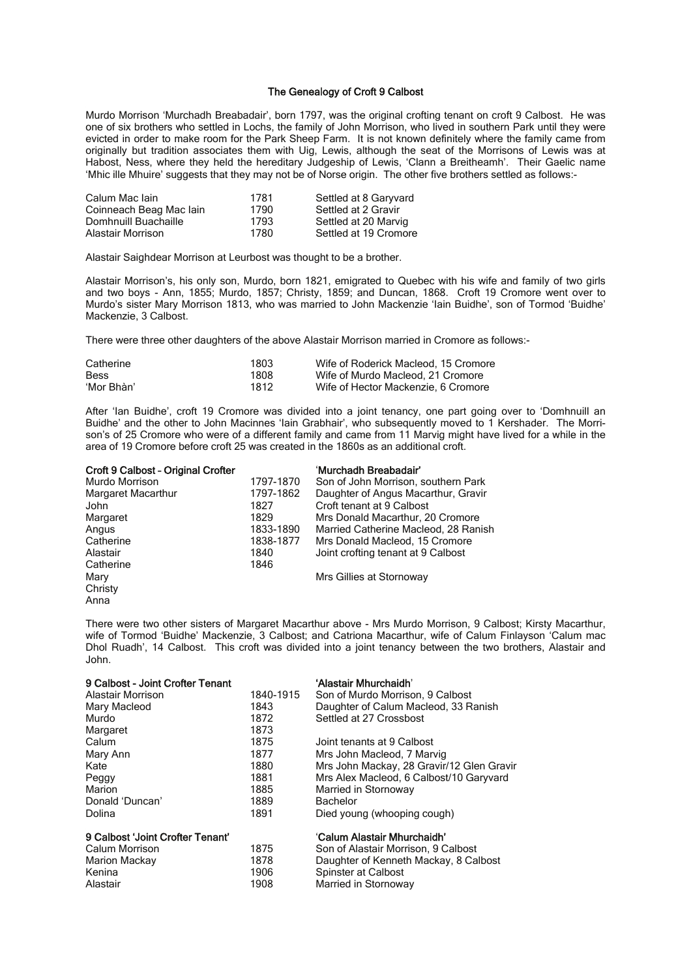## The Genealogy of Croft 9 Calbost

Murdo Morrison 'Murchadh Breabadair', born 1797, was the original crofting tenant on croft 9 Calbost. He was one of six brothers who settled in Lochs, the family of John Morrison, who lived in southern Park until they were evicted in order to make room for the Park Sheep Farm. It is not known definitely where the family came from originally but tradition associates them with Uig, Lewis, although the seat of the Morrisons of Lewis was at Habost, Ness, where they held the hereditary Judgeship of Lewis, 'Clann a Breitheamh'. Their Gaelic name 'Mhic ille Mhuire' suggests that they may not be of Norse origin. The other five brothers settled as follows:-

| Calum Mac Iain          | 1781 | Settled at 8 Garyvard |
|-------------------------|------|-----------------------|
| Coinneach Beag Mac Iain | 1790 | Settled at 2 Gravir   |
| Domhnuill Buachaille    | 1793 | Settled at 20 Marvig  |
| Alastair Morrison       | 1780 | Settled at 19 Cromore |

Alastair Saighdear Morrison at Leurbost was thought to be a brother.

Alastair Morrison's, his only son, Murdo, born 1821, emigrated to Quebec with his wife and family of two girls and two boys - Ann, 1855; Murdo, 1857; Christy, 1859; and Duncan, 1868. Croft 19 Cromore went over to Murdo's sister Mary Morrison 1813, who was married to John Mackenzie 'Iain Buidhe', son of Tormod 'Buidhe' Mackenzie, 3 Calbost.

There were three other daughters of the above Alastair Morrison married in Cromore as follows:-

| Catherine   | 1803 | Wife of Roderick Macleod, 15 Cromore |
|-------------|------|--------------------------------------|
| <b>Bess</b> | 1808 | Wife of Murdo Macleod, 21 Cromore    |
| 'Mor Bhàn'  | 1812 | Wife of Hector Mackenzie, 6 Cromore  |

After 'Ian Buidhe', croft 19 Cromore was divided into a joint tenancy, one part going over to 'Domhnuill an Buidhe' and the other to John Macinnes 'Iain Grabhair', who subsequently moved to 1 Kershader. The Morrison's of 25 Cromore who were of a different family and came from 11 Marvig might have lived for a while in the area of 19 Cromore before croft 25 was created in the 1860s as an additional croft.

| Croft 9 Calbost - Original Crofter |           | 'Murchadh Breabadair'                |
|------------------------------------|-----------|--------------------------------------|
| Murdo Morrison                     | 1797-1870 | Son of John Morrison, southern Park  |
| Margaret Macarthur                 | 1797-1862 | Daughter of Angus Macarthur, Gravir  |
| John                               | 1827      | Croft tenant at 9 Calbost            |
| Margaret                           | 1829      | Mrs Donald Macarthur, 20 Cromore     |
| Angus                              | 1833-1890 | Married Catherine Macleod, 28 Ranish |
| Catherine                          | 1838-1877 | Mrs Donald Macleod, 15 Cromore       |
| Alastair                           | 1840      | Joint crofting tenant at 9 Calbost   |
| Catherine                          | 1846      |                                      |
| Mary                               |           | Mrs Gillies at Stornoway             |
| Christv                            |           |                                      |

Anna

There were two other sisters of Margaret Macarthur above - Mrs Murdo Morrison, 9 Calbost; Kirsty Macarthur, wife of Tormod 'Buidhe' Mackenzie, 3 Calbost; and Catriona Macarthur, wife of Calum Finlayson 'Calum mac Dhol Ruadh', 14 Calbost. This croft was divided into a joint tenancy between the two brothers, Alastair and John.

| 9 Calbost - Joint Crofter Tenant |           | 'Alastair Mhurchaidh'                     |
|----------------------------------|-----------|-------------------------------------------|
| Alastair Morrison                | 1840-1915 | Son of Murdo Morrison, 9 Calbost          |
| Mary Macleod                     | 1843      | Daughter of Calum Macleod, 33 Ranish      |
| Murdo                            | 1872      | Settled at 27 Crossbost                   |
| Margaret                         | 1873      |                                           |
| Calum                            | 1875      | Joint tenants at 9 Calbost                |
| Mary Ann                         | 1877      | Mrs John Macleod, 7 Marvig                |
| Kate                             | 1880      | Mrs John Mackay, 28 Gravir/12 Glen Gravir |
| Peggy                            | 1881      | Mrs Alex Macleod, 6 Calbost/10 Garyvard   |
| Marion                           | 1885      | Married in Stornoway                      |
| Donald 'Duncan'                  | 1889      | <b>Bachelor</b>                           |
| Dolina                           | 1891      | Died young (whooping cough)               |
| 9 Calbost 'Joint Crofter Tenant' |           | 'Calum Alastair Mhurchaidh'               |
| Calum Morrison                   | 1875      | Son of Alastair Morrison, 9 Calbost       |
| Marion Mackay                    | 1878      | Daughter of Kenneth Mackay, 8 Calbost     |
| Kenina                           | 1906      | Spinster at Calbost                       |
| Alastair                         | 1908      | Married in Stornoway                      |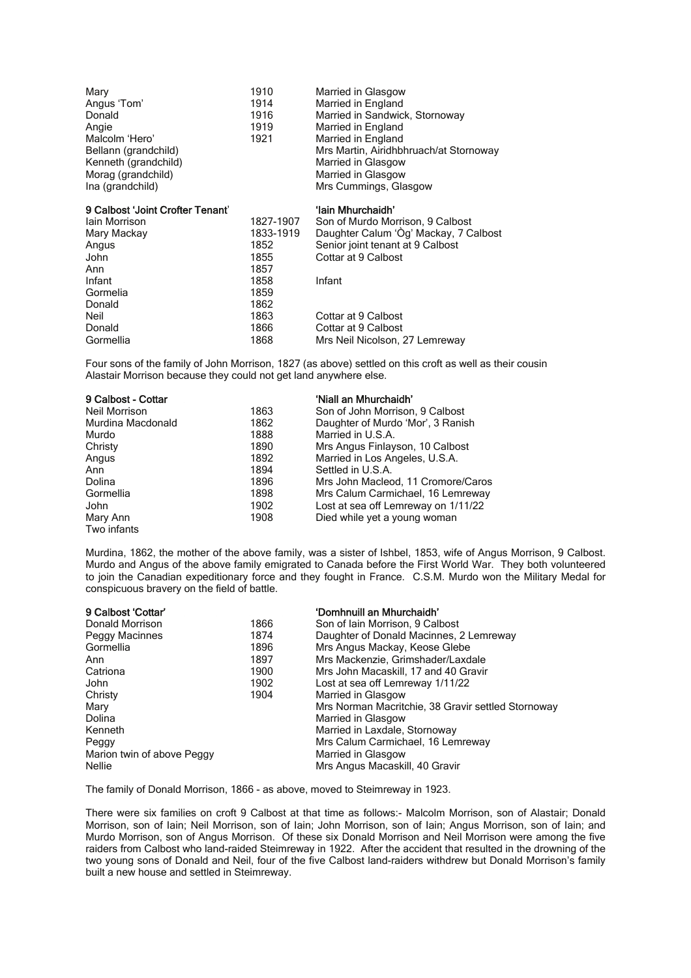| Mary<br>Angus 'Tom'<br>Donald<br>Angie<br>Malcolm 'Hero'<br>Bellann (grandchild)<br>Kenneth (grandchild)<br>Morag (grandchild)<br>Ina (grandchild) | 1910<br>1914<br>1916<br>1919<br>1921 | Married in Glasgow<br>Married in England<br>Married in Sandwick, Stornoway<br>Married in England<br>Married in England<br>Mrs Martin, Airidhbhruach/at Stornoway<br>Married in Glasgow<br>Married in Glasgow<br>Mrs Cummings, Glasgow |
|----------------------------------------------------------------------------------------------------------------------------------------------------|--------------------------------------|---------------------------------------------------------------------------------------------------------------------------------------------------------------------------------------------------------------------------------------|
| 9 Calbost 'Joint Crofter Tenant'                                                                                                                   |                                      | 'lain Mhurchaidh'                                                                                                                                                                                                                     |
| lain Morrison                                                                                                                                      | 1827-1907                            | Son of Murdo Morrison, 9 Calbost                                                                                                                                                                                                      |
| Mary Mackay                                                                                                                                        | 1833-1919                            | Daughter Calum 'Òg' Mackay, 7 Calbost                                                                                                                                                                                                 |
| Angus                                                                                                                                              | 1852                                 | Senior joint tenant at 9 Calbost                                                                                                                                                                                                      |
| John                                                                                                                                               | 1855                                 | Cottar at 9 Calbost                                                                                                                                                                                                                   |
| Ann                                                                                                                                                | 1857                                 |                                                                                                                                                                                                                                       |
| Infant                                                                                                                                             | 1858                                 | Infant                                                                                                                                                                                                                                |
| Gormelia                                                                                                                                           | 1859                                 |                                                                                                                                                                                                                                       |
| Donald                                                                                                                                             | 1862                                 |                                                                                                                                                                                                                                       |
| Neil                                                                                                                                               | 1863                                 | Cottar at 9 Calbost                                                                                                                                                                                                                   |
| Donald                                                                                                                                             | 1000                                 | $O_{\alpha\text{H}\alpha\gamma\alpha\text{H}}$ $\cap$ $O_{\alpha\text{H}\alpha\alpha\text{H}}$                                                                                                                                        |

Donald 1866 Cottar at 9 Calbost Cornellia<br>Gormellia 1868 Mrs Neil Nicolson. Mrs Neil Nicolson, 27 Lemreway

Four sons of the family of John Morrison, 1827 (as above) settled on this croft as well as their cousin Alastair Morrison because they could not get land anywhere else.

| 9 Calbost - Cottar |      | 'Niall an Mhurchaidh'               |
|--------------------|------|-------------------------------------|
| Neil Morrison      | 1863 | Son of John Morrison, 9 Calbost     |
| Murdina Macdonald  | 1862 | Daughter of Murdo 'Mor', 3 Ranish   |
| Murdo              | 1888 | Married in U.S.A.                   |
| Christy            | 1890 | Mrs Angus Finlayson, 10 Calbost     |
| Angus              | 1892 | Married in Los Angeles, U.S.A.      |
| Ann                | 1894 | Settled in U.S.A.                   |
| Dolina             | 1896 | Mrs John Macleod, 11 Cromore/Caros  |
| Gormellia          | 1898 | Mrs Calum Carmichael, 16 Lemreway   |
| John               | 1902 | Lost at sea off Lemreway on 1/11/22 |
| Mary Ann           | 1908 | Died while yet a young woman        |
| Two infants        |      |                                     |

Murdina, 1862, the mother of the above family, was a sister of Ishbel, 1853, wife of Angus Morrison, 9 Calbost. Murdo and Angus of the above family emigrated to Canada before the First World War. They both volunteered to join the Canadian expeditionary force and they fought in France. C.S.M. Murdo won the Military Medal for conspicuous bravery on the field of battle.

| 9 Calbost 'Cottar'         |      | 'Domhnuill an Mhurchaidh'                          |
|----------------------------|------|----------------------------------------------------|
| Donald Morrison            | 1866 | Son of Iain Morrison, 9 Calbost                    |
| Peggy Macinnes             | 1874 | Daughter of Donald Macinnes, 2 Lemreway            |
| Gormellia                  | 1896 | Mrs Angus Mackay, Keose Glebe                      |
| Ann                        | 1897 | Mrs Mackenzie, Grimshader/Laxdale                  |
| Catriona                   | 1900 | Mrs John Macaskill, 17 and 40 Gravir               |
| John                       | 1902 | Lost at sea off Lemreway 1/11/22                   |
| Christy                    | 1904 | Married in Glasgow                                 |
| Mary                       |      | Mrs Norman Macritchie, 38 Gravir settled Stornoway |
| Dolina                     |      | Married in Glasgow                                 |
| Kenneth                    |      | Married in Laxdale, Stornoway                      |
| Peggy                      |      | Mrs Calum Carmichael, 16 Lemreway                  |
| Marion twin of above Peggy |      | Married in Glasgow                                 |
| <b>Nellie</b>              |      | Mrs Angus Macaskill, 40 Gravir                     |

The family of Donald Morrison, 1866 - as above, moved to Steimreway in 1923.

There were six families on croft 9 Calbost at that time as follows:- Malcolm Morrison, son of Alastair; Donald Morrison, son of Iain; Neil Morrison, son of Iain; John Morrison, son of Iain; Angus Morrison, son of Iain; and Murdo Morrison, son of Angus Morrison. Of these six Donald Morrison and Neil Morrison were among the five raiders from Calbost who land-raided Steimreway in 1922. After the accident that resulted in the drowning of the two young sons of Donald and Neil, four of the five Calbost land-raiders withdrew but Donald Morrison's family built a new house and settled in Steimreway.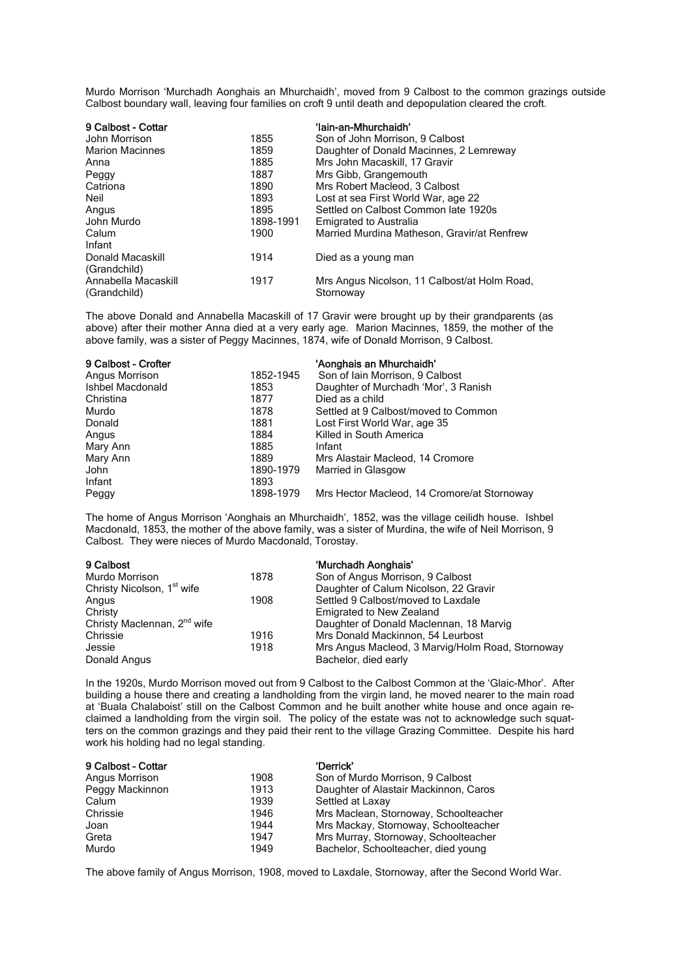Murdo Morrison 'Murchadh Aonghais an Mhurchaidh', moved from 9 Calbost to the common grazings outside Calbost boundary wall, leaving four families on croft 9 until death and depopulation cleared the croft.

| 9 Calbost - Cottar     |           | 'lain-an-Mhurchaidh'                         |
|------------------------|-----------|----------------------------------------------|
| John Morrison          | 1855      | Son of John Morrison, 9 Calbost              |
| <b>Marion Macinnes</b> | 1859      | Daughter of Donald Macinnes, 2 Lemreway      |
| Anna                   | 1885      | Mrs John Macaskill, 17 Gravir                |
| Peggy                  | 1887      | Mrs Gibb, Grangemouth                        |
| Catriona               | 1890      | Mrs Robert Macleod, 3 Calbost                |
| Neil                   | 1893      | Lost at sea First World War, age 22          |
| Angus                  | 1895      | Settled on Calbost Common late 1920s         |
| John Murdo             | 1898-1991 | <b>Emigrated to Australia</b>                |
| Calum                  | 1900      | Married Murdina Matheson, Gravir/at Renfrew  |
| Infant                 |           |                                              |
| Donald Macaskill       | 1914      | Died as a young man                          |
| (Grandchild)           |           |                                              |
| Annabella Macaskill    | 1917      | Mrs Angus Nicolson, 11 Calbost/at Holm Road, |
| (Grandchild)           |           | Stornoway                                    |

The above Donald and Annabella Macaskill of 17 Gravir were brought up by their grandparents (as above) after their mother Anna died at a very early age. Marion Macinnes, 1859, the mother of the above family, was a sister of Peggy Macinnes, 1874, wife of Donald Morrison, 9 Calbost.

| 9 Calbost - Crofter |           | 'Aonghais an Mhurchaidh'                    |
|---------------------|-----------|---------------------------------------------|
| Angus Morrison      | 1852-1945 | Son of Iain Morrison, 9 Calbost             |
| Ishbel Macdonald    | 1853      | Daughter of Murchadh 'Mor', 3 Ranish        |
| Christina           | 1877      | Died as a child                             |
| Murdo               | 1878      | Settled at 9 Calbost/moved to Common        |
| Donald              | 1881      | Lost First World War, age 35                |
| Angus               | 1884      | Killed in South America                     |
| Mary Ann            | 1885      | Infant                                      |
| Mary Ann            | 1889      | Mrs Alastair Macleod, 14 Cromore            |
| John                | 1890-1979 | Married in Glasgow                          |
| Infant              | 1893      |                                             |
| Peggy               | 1898-1979 | Mrs Hector Macleod, 14 Cromore/at Stornoway |

The home of Angus Morrison 'Aonghais an Mhurchaidh', 1852, was the village ceilidh house. Ishbel Macdonald, 1853, the mother of the above family, was a sister of Murdina, the wife of Neil Morrison, 9 Calbost. They were nieces of Murdo Macdonald, Torostay.

| 9 Calbost                               |      | 'Murchadh Aonghais'                              |
|-----------------------------------------|------|--------------------------------------------------|
| Murdo Morrison                          | 1878 | Son of Angus Morrison, 9 Calbost                 |
| Christy Nicolson, 1 <sup>st</sup> wife  |      | Daughter of Calum Nicolson, 22 Gravir            |
| Angus                                   | 1908 | Settled 9 Calbost/moved to Laxdale               |
| Christy                                 |      | Emigrated to New Zealand                         |
| Christy Maclennan, 2 <sup>nd</sup> wife |      | Daughter of Donald Maclennan, 18 Marvig          |
| Chrissie                                | 1916 | Mrs Donald Mackinnon, 54 Leurbost                |
| Jessie                                  | 1918 | Mrs Angus Macleod, 3 Marvig/Holm Road, Stornoway |
| Donald Angus                            |      | Bachelor, died early                             |

In the 1920s, Murdo Morrison moved out from 9 Calbost to the Calbost Common at the 'Glaic-Mhor'. After building a house there and creating a landholding from the virgin land, he moved nearer to the main road at 'Buala Chalaboist' still on the Calbost Common and he built another white house and once again reclaimed a landholding from the virgin soil. The policy of the estate was not to acknowledge such squatters on the common grazings and they paid their rent to the village Grazing Committee. Despite his hard work his holding had no legal standing.

| 9 Calbost - Cottar |      | 'Derrick'                             |
|--------------------|------|---------------------------------------|
| Angus Morrison     | 1908 | Son of Murdo Morrison, 9 Calbost      |
| Peggy Mackinnon    | 1913 | Daughter of Alastair Mackinnon, Caros |
| Calum              | 1939 | Settled at Laxay                      |
| Chrissie           | 1946 | Mrs Maclean, Stornoway, Schoolteacher |
| Joan               | 1944 | Mrs Mackay, Stornoway, Schoolteacher  |
| Greta              | 1947 | Mrs Murray, Stornoway, Schoolteacher  |
| Murdo              | 1949 | Bachelor, Schoolteacher, died young   |

The above family of Angus Morrison, 1908, moved to Laxdale, Stornoway, after the Second World War.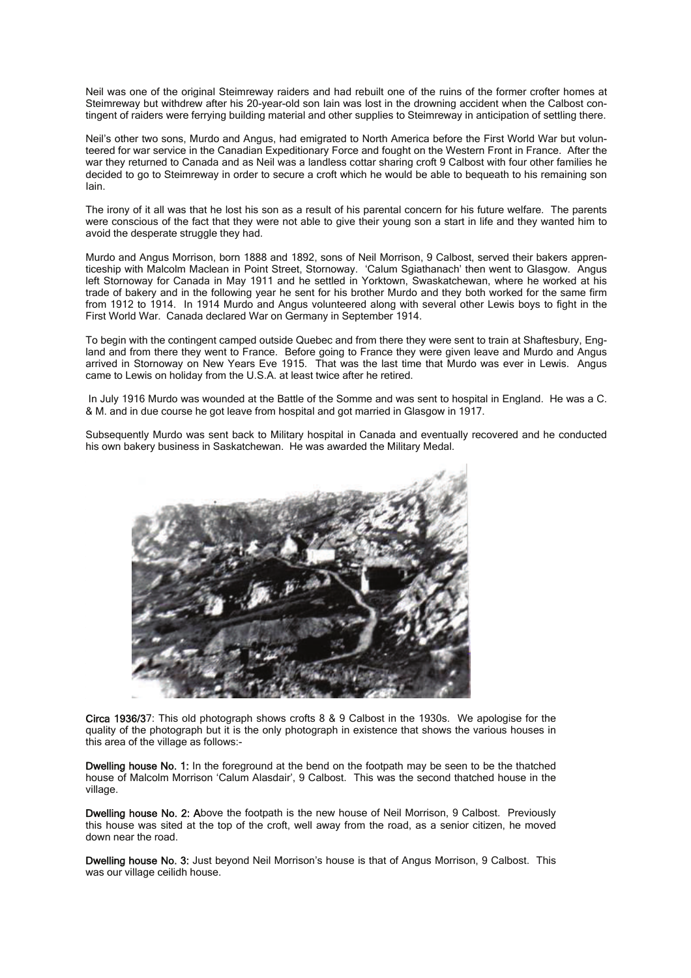Neil was one of the original Steimreway raiders and had rebuilt one of the ruins of the former crofter homes at Steimreway but withdrew after his 20-year-old son Iain was lost in the drowning accident when the Calbost contingent of raiders were ferrying building material and other supplies to Steimreway in anticipation of settling there.

Neil's other two sons, Murdo and Angus, had emigrated to North America before the First World War but volunteered for war service in the Canadian Expeditionary Force and fought on the Western Front in France. After the war they returned to Canada and as Neil was a landless cottar sharing croft 9 Calbost with four other families he decided to go to Steimreway in order to secure a croft which he would be able to bequeath to his remaining son Iain.

The irony of it all was that he lost his son as a result of his parental concern for his future welfare. The parents were conscious of the fact that they were not able to give their young son a start in life and they wanted him to avoid the desperate struggle they had.

Murdo and Angus Morrison, born 1888 and 1892, sons of Neil Morrison, 9 Calbost, served their bakers apprenticeship with Malcolm Maclean in Point Street, Stornoway. 'Calum Sgiathanach' then went to Glasgow. Angus left Stornoway for Canada in May 1911 and he settled in Yorktown, Swaskatchewan, where he worked at his trade of bakery and in the following year he sent for his brother Murdo and they both worked for the same firm from 1912 to 1914. In 1914 Murdo and Angus volunteered along with several other Lewis boys to fight in the First World War. Canada declared War on Germany in September 1914.

To begin with the contingent camped outside Quebec and from there they were sent to train at Shaftesbury, England and from there they went to France. Before going to France they were given leave and Murdo and Angus arrived in Stornoway on New Years Eve 1915. That was the last time that Murdo was ever in Lewis. Angus came to Lewis on holiday from the U.S.A. at least twice after he retired.

 In July 1916 Murdo was wounded at the Battle of the Somme and was sent to hospital in England. He was a C. & M. and in due course he got leave from hospital and got married in Glasgow in 1917.

Subsequently Murdo was sent back to Military hospital in Canada and eventually recovered and he conducted his own bakery business in Saskatchewan. He was awarded the Military Medal.



Circa 1936/37: This old photograph shows crofts 8 & 9 Calbost in the 1930s. We apologise for the quality of the photograph but it is the only photograph in existence that shows the various houses in this area of the village as follows:-

Dwelling house No. 1: In the foreground at the bend on the footpath may be seen to be the thatched house of Malcolm Morrison 'Calum Alasdair', 9 Calbost. This was the second thatched house in the village.

Dwelling house No. 2: Above the footpath is the new house of Neil Morrison, 9 Calbost. Previously this house was sited at the top of the croft, well away from the road, as a senior citizen, he moved down near the road.

Dwelling house No. 3: Just beyond Neil Morrison's house is that of Angus Morrison, 9 Calbost. This was our village ceilidh house.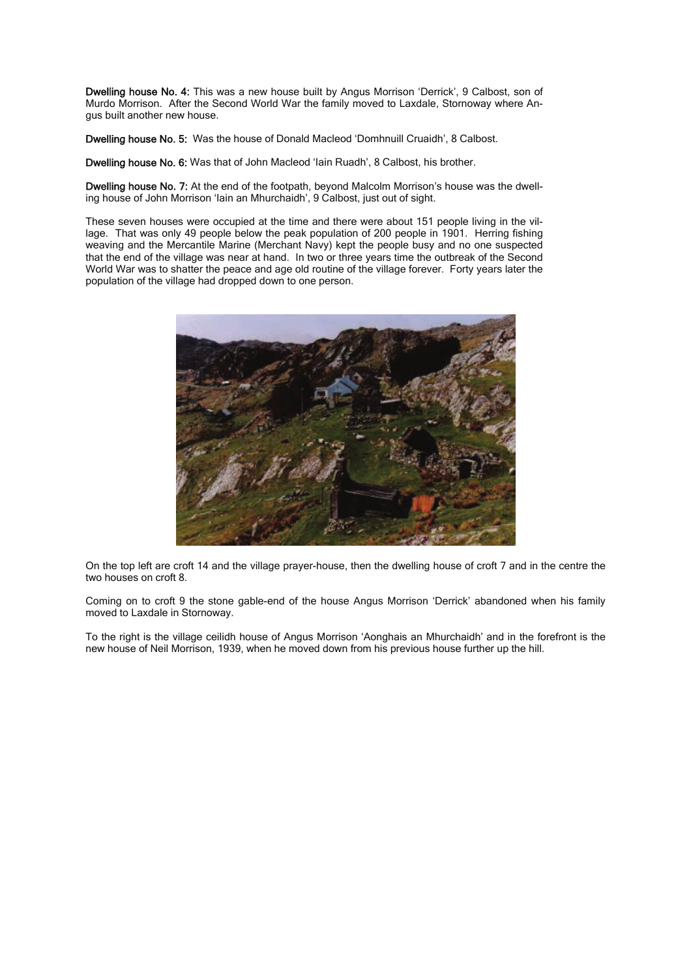Dwelling house No. 4: This was a new house built by Angus Morrison 'Derrick', 9 Calbost, son of Murdo Morrison. After the Second World War the family moved to Laxdale, Stornoway where Angus built another new house.

Dwelling house No. 5: Was the house of Donald Macleod 'Domhnuill Cruaidh', 8 Calbost.

Dwelling house No. 6: Was that of John Macleod 'Iain Ruadh', 8 Calbost, his brother.

Dwelling house No. 7: At the end of the footpath, beyond Malcolm Morrison's house was the dwelling house of John Morrison 'Iain an Mhurchaidh', 9 Calbost, just out of sight.

These seven houses were occupied at the time and there were about 151 people living in the village. That was only 49 people below the peak population of 200 people in 1901. Herring fishing weaving and the Mercantile Marine (Merchant Navy) kept the people busy and no one suspected that the end of the village was near at hand. In two or three years time the outbreak of the Second World War was to shatter the peace and age old routine of the village forever. Forty years later the population of the village had dropped down to one person.



On the top left are croft 14 and the village prayer-house, then the dwelling house of croft 7 and in the centre the two houses on croft 8.

Coming on to croft 9 the stone gable-end of the house Angus Morrison 'Derrick' abandoned when his family moved to Laxdale in Stornoway.

To the right is the village ceilidh house of Angus Morrison 'Aonghais an Mhurchaidh' and in the forefront is the new house of Neil Morrison, 1939, when he moved down from his previous house further up the hill.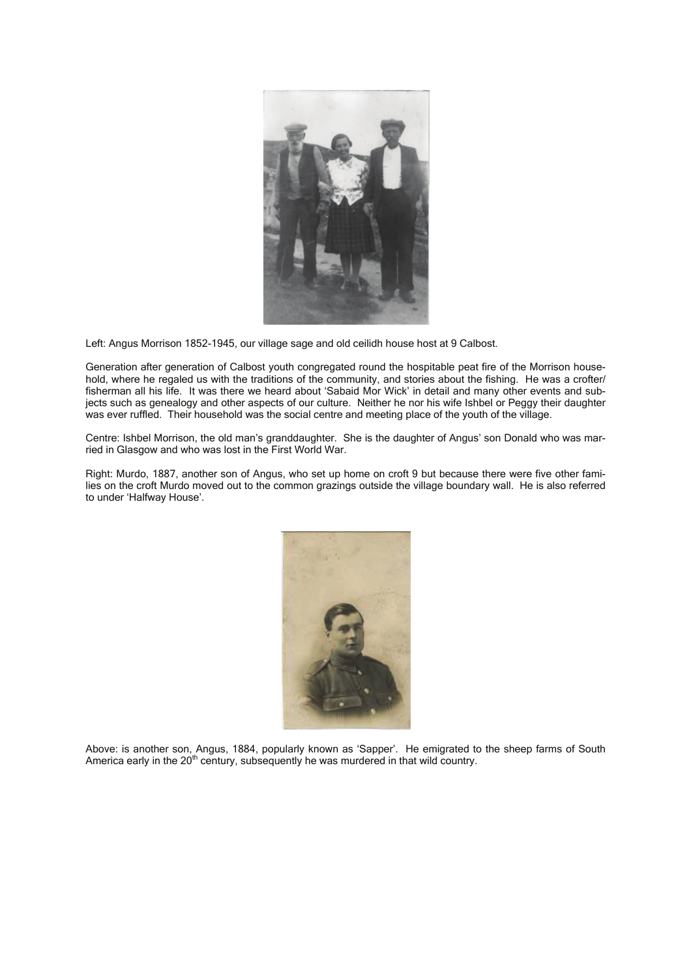

Left: Angus Morrison 1852-1945, our village sage and old ceilidh house host at 9 Calbost.

Generation after generation of Calbost youth congregated round the hospitable peat fire of the Morrison household, where he regaled us with the traditions of the community, and stories about the fishing. He was a crofter/ fisherman all his life. It was there we heard about 'Sabaid Mor Wick' in detail and many other events and subjects such as genealogy and other aspects of our culture. Neither he nor his wife Ishbel or Peggy their daughter was ever ruffled. Their household was the social centre and meeting place of the youth of the village.

Centre: Ishbel Morrison, the old man's granddaughter. She is the daughter of Angus' son Donald who was married in Glasgow and who was lost in the First World War.

Right: Murdo, 1887, another son of Angus, who set up home on croft 9 but because there were five other families on the croft Murdo moved out to the common grazings outside the village boundary wall. He is also referred to under 'Halfway House'.



Above: is another son, Angus, 1884, popularly known as 'Sapper'. He emigrated to the sheep farms of South America early in the  $20<sup>th</sup>$  century, subsequently he was murdered in that wild country.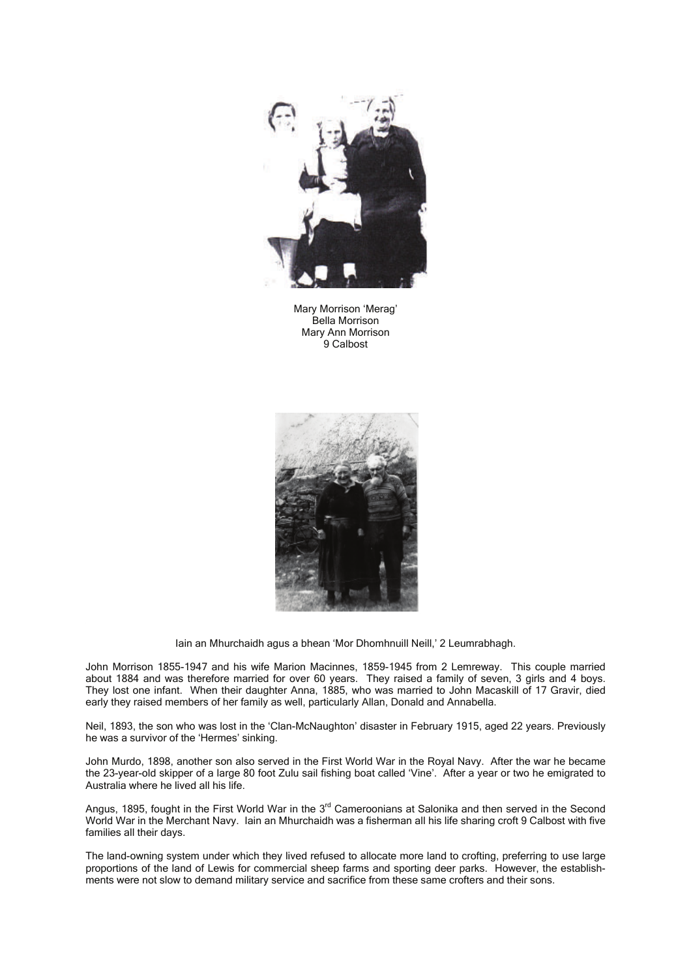

Mary Morrison 'Merag' Bella Morrison Mary Ann Morrison 9 Calbost



Iain an Mhurchaidh agus a bhean 'Mor Dhomhnuill Neill,' 2 Leumrabhagh.

John Morrison 1855-1947 and his wife Marion Macinnes, 1859-1945 from 2 Lemreway. This couple married about 1884 and was therefore married for over 60 years. They raised a family of seven, 3 girls and 4 boys. They lost one infant. When their daughter Anna, 1885, who was married to John Macaskill of 17 Gravir, died early they raised members of her family as well, particularly Allan, Donald and Annabella.

Neil, 1893, the son who was lost in the 'Clan-McNaughton' disaster in February 1915, aged 22 years. Previously he was a survivor of the 'Hermes' sinking.

John Murdo, 1898, another son also served in the First World War in the Royal Navy. After the war he became the 23-year-old skipper of a large 80 foot Zulu sail fishing boat called 'Vine'. After a year or two he emigrated to Australia where he lived all his life.

Angus, 1895, fought in the First World War in the 3<sup>rd</sup> Cameroonians at Salonika and then served in the Second World War in the Merchant Navy. Iain an Mhurchaidh was a fisherman all his life sharing croft 9 Calbost with five families all their days.

The land-owning system under which they lived refused to allocate more land to crofting, preferring to use large proportions of the land of Lewis for commercial sheep farms and sporting deer parks. However, the establishments were not slow to demand military service and sacrifice from these same crofters and their sons.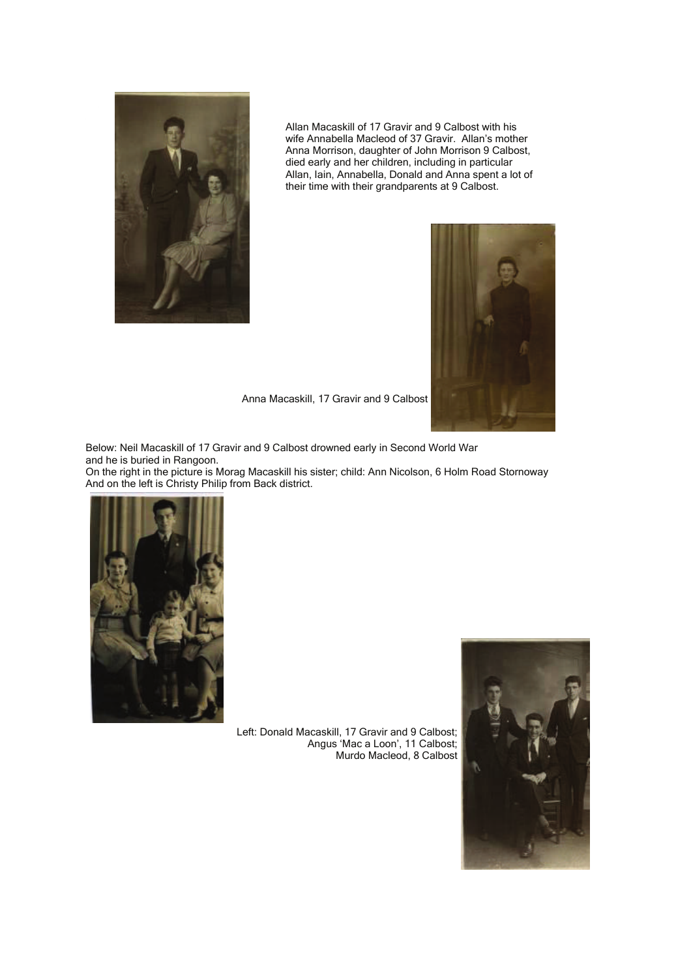

 Allan Macaskill of 17 Gravir and 9 Calbost with his wife Annabella Macleod of 37 Gravir. Allan's mother Anna Morrison, daughter of John Morrison 9 Calbost, died early and her children, including in particular Allan, Iain, Annabella, Donald and Anna spent a lot of their time with their grandparents at 9 Calbost.



Anna Macaskill, 17 Gravir and 9 Calbost

Below: Neil Macaskill of 17 Gravir and 9 Calbost drowned early in Second World War and he is buried in Rangoon.

On the right in the picture is Morag Macaskill his sister; child: Ann Nicolson, 6 Holm Road Stornoway And on the left is Christy Philip from Back district.



Left: Donald Macaskill, 17 Gravir and 9 Calbost; Angus 'Mac a Loon', 11 Calbost; Murdo Macleod, 8 Calbost

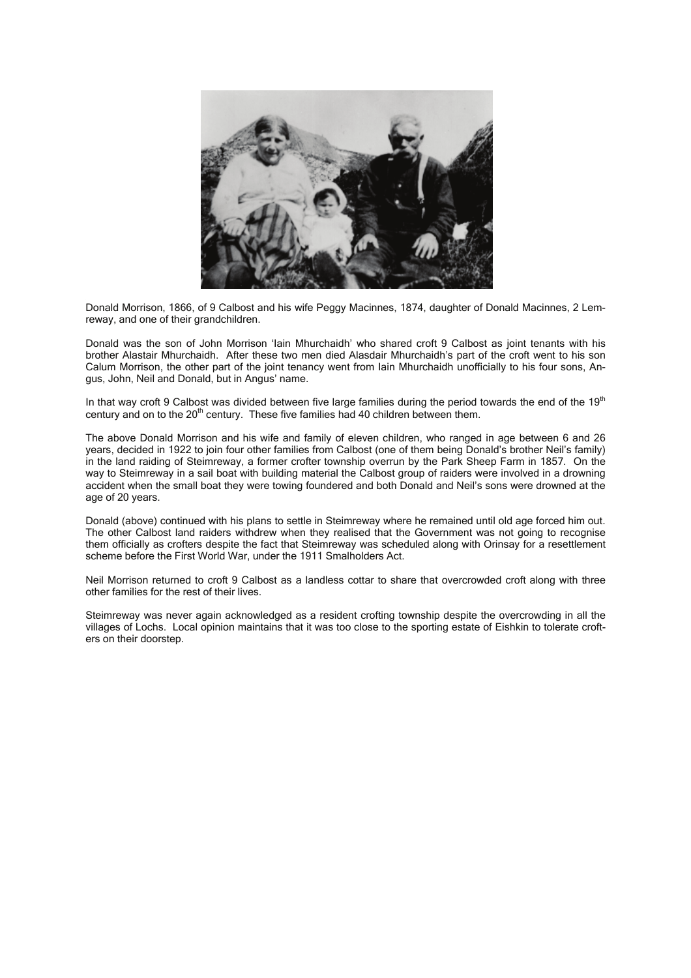

Donald Morrison, 1866, of 9 Calbost and his wife Peggy Macinnes, 1874, daughter of Donald Macinnes, 2 Lemreway, and one of their grandchildren.

Donald was the son of John Morrison 'Iain Mhurchaidh' who shared croft 9 Calbost as joint tenants with his brother Alastair Mhurchaidh. After these two men died Alasdair Mhurchaidh's part of the croft went to his son Calum Morrison, the other part of the joint tenancy went from Iain Mhurchaidh unofficially to his four sons, Angus, John, Neil and Donald, but in Angus' name.

In that way croft 9 Calbost was divided between five large families during the period towards the end of the  $19<sup>th</sup>$ century and on to the  $20<sup>th</sup>$  century. These five families had 40 children between them.

The above Donald Morrison and his wife and family of eleven children, who ranged in age between 6 and 26 years, decided in 1922 to join four other families from Calbost (one of them being Donald's brother Neil's family) in the land raiding of Steimreway, a former crofter township overrun by the Park Sheep Farm in 1857. On the way to Steimreway in a sail boat with building material the Calbost group of raiders were involved in a drowning accident when the small boat they were towing foundered and both Donald and Neil's sons were drowned at the age of 20 years.

Donald (above) continued with his plans to settle in Steimreway where he remained until old age forced him out. The other Calbost land raiders withdrew when they realised that the Government was not going to recognise them officially as crofters despite the fact that Steimreway was scheduled along with Orinsay for a resettlement scheme before the First World War, under the 1911 Smalholders Act.

Neil Morrison returned to croft 9 Calbost as a landless cottar to share that overcrowded croft along with three other families for the rest of their lives.

Steimreway was never again acknowledged as a resident crofting township despite the overcrowding in all the villages of Lochs. Local opinion maintains that it was too close to the sporting estate of Eishkin to tolerate crofters on their doorstep.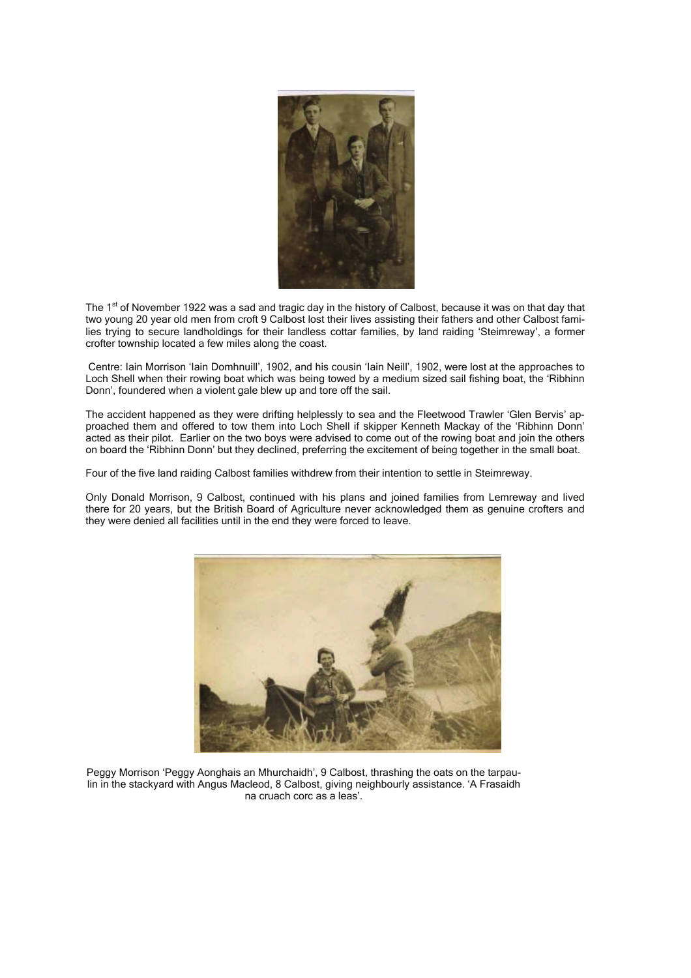

The 1<sup>st</sup> of November 1922 was a sad and tragic day in the history of Calbost, because it was on that day that two young 20 year old men from croft 9 Calbost lost their lives assisting their fathers and other Calbost families trying to secure landholdings for their landless cottar families, by land raiding 'Steimreway', a former crofter township located a few miles along the coast.

 Centre: Iain Morrison 'Iain Domhnuill', 1902, and his cousin 'Iain Neill', 1902, were lost at the approaches to Loch Shell when their rowing boat which was being towed by a medium sized sail fishing boat, the 'Ribhinn Donn', foundered when a violent gale blew up and tore off the sail.

The accident happened as they were drifting helplessly to sea and the Fleetwood Trawler 'Glen Bervis' approached them and offered to tow them into Loch Shell if skipper Kenneth Mackay of the 'Ribhinn Donn' acted as their pilot. Earlier on the two boys were advised to come out of the rowing boat and join the others on board the 'Ribhinn Donn' but they declined, preferring the excitement of being together in the small boat.

Four of the five land raiding Calbost families withdrew from their intention to settle in Steimreway.

Only Donald Morrison, 9 Calbost, continued with his plans and joined families from Lemreway and lived there for 20 years, but the British Board of Agriculture never acknowledged them as genuine crofters and they were denied all facilities until in the end they were forced to leave.



Peggy Morrison 'Peggy Aonghais an Mhurchaidh', 9 Calbost, thrashing the oats on the tarpaulin in the stackyard with Angus Macleod, 8 Calbost, giving neighbourly assistance. 'A Frasaidh na cruach corc as a leas'.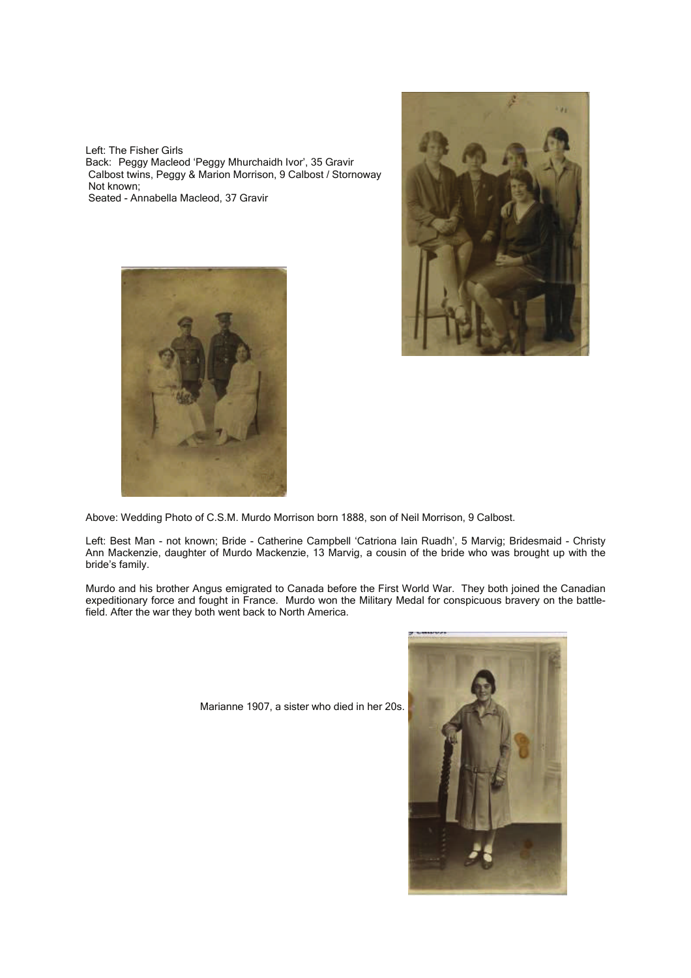Left: The Fisher Girls Back: Peggy Macleod 'Peggy Mhurchaidh Ivor', 35 Gravir Calbost twins, Peggy & Marion Morrison, 9 Calbost / Stornoway Not known; Seated - Annabella Macleod, 37 Gravir





Above: Wedding Photo of C.S.M. Murdo Morrison born 1888, son of Neil Morrison, 9 Calbost.

Left: Best Man - not known; Bride - Catherine Campbell 'Catriona Iain Ruadh', 5 Marvig; Bridesmaid - Christy Ann Mackenzie, daughter of Murdo Mackenzie, 13 Marvig, a cousin of the bride who was brought up with the bride's family.

Murdo and his brother Angus emigrated to Canada before the First World War. They both joined the Canadian expeditionary force and fought in France. Murdo won the Military Medal for conspicuous bravery on the battlefield. After the war they both went back to North America.

Marianne 1907, a sister who died in her 20s.

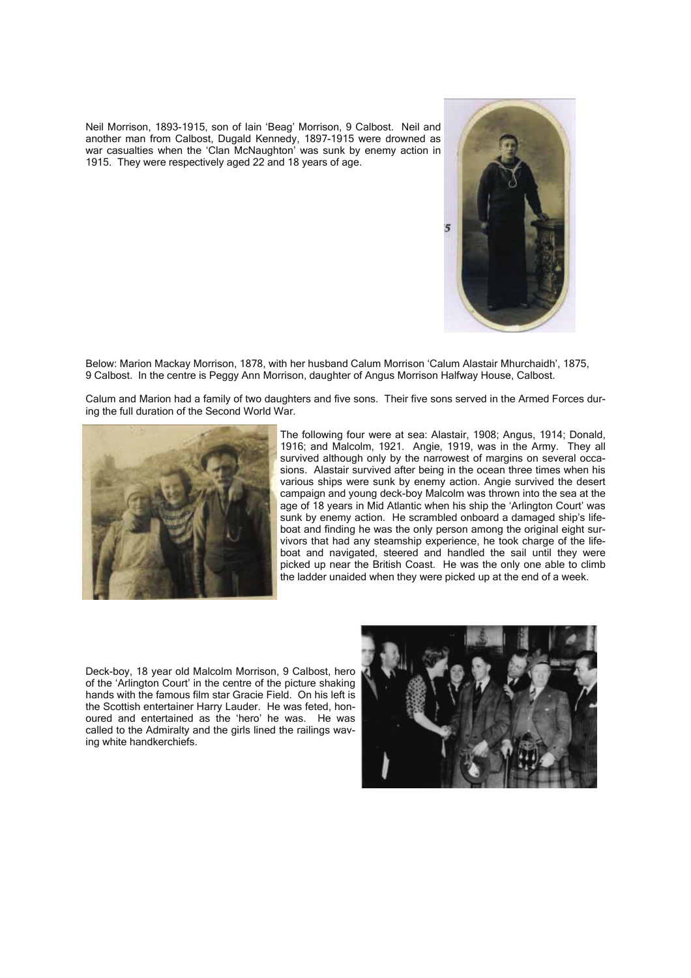Neil Morrison, 1893-1915, son of Iain 'Beag' Morrison, 9 Calbost. Neil and another man from Calbost, Dugald Kennedy, 1897-1915 were drowned as war casualties when the 'Clan McNaughton' was sunk by enemy action in 1915. They were respectively aged 22 and 18 years of age.



Below: Marion Mackay Morrison, 1878, with her husband Calum Morrison 'Calum Alastair Mhurchaidh', 1875, 9 Calbost. In the centre is Peggy Ann Morrison, daughter of Angus Morrison Halfway House, Calbost.

Calum and Marion had a family of two daughters and five sons. Their five sons served in the Armed Forces during the full duration of the Second World War.



The following four were at sea: Alastair, 1908; Angus, 1914; Donald, 1916; and Malcolm, 1921. Angie, 1919, was in the Army. They all survived although only by the narrowest of margins on several occasions. Alastair survived after being in the ocean three times when his various ships were sunk by enemy action. Angie survived the desert campaign and young deck-boy Malcolm was thrown into the sea at the age of 18 years in Mid Atlantic when his ship the 'Arlington Court' was sunk by enemy action. He scrambled onboard a damaged ship's lifeboat and finding he was the only person among the original eight survivors that had any steamship experience, he took charge of the lifeboat and navigated, steered and handled the sail until they were picked up near the British Coast. He was the only one able to climb the ladder unaided when they were picked up at the end of a week.

Deck-boy, 18 year old Malcolm Morrison, 9 Calbost, hero of the 'Arlington Court' in the centre of the picture shaking hands with the famous film star Gracie Field. On his left is the Scottish entertainer Harry Lauder. He was feted, honoured and entertained as the 'hero' he was. He was called to the Admiralty and the girls lined the railings waving white handkerchiefs.

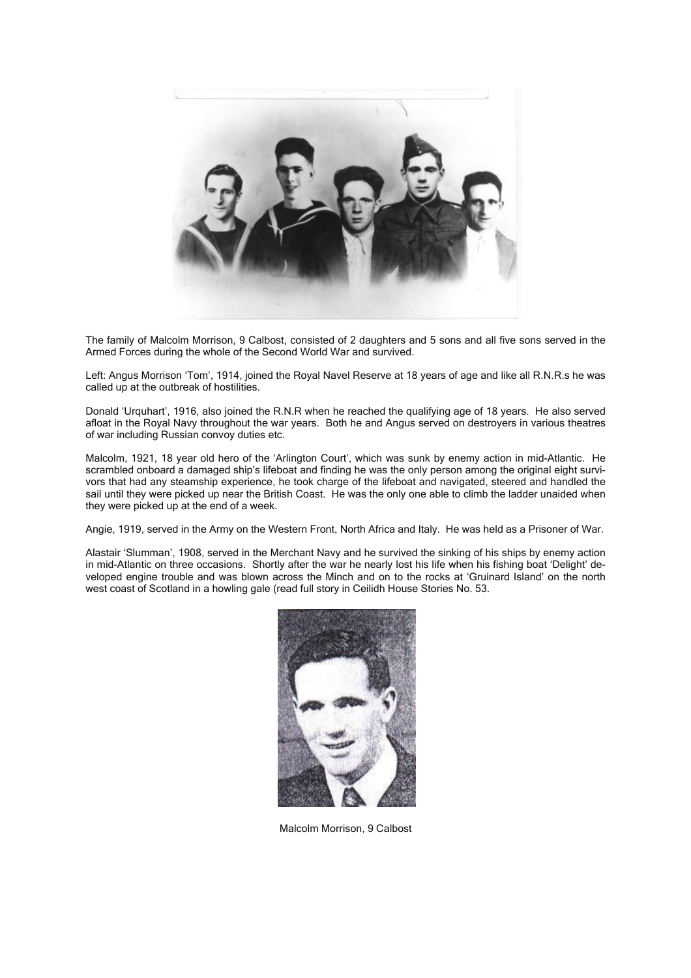

The family of Malcolm Morrison, 9 Calbost, consisted of 2 daughters and 5 sons and all five sons served in the Armed Forces during the whole of the Second World War and survived.

Left: Angus Morrison 'Tom', 1914, joined the Royal Navel Reserve at 18 years of age and like all R.N.R.s he was called up at the outbreak of hostilities.

Donald 'Urquhart', 1916, also joined the R.N.R when he reached the qualifying age of 18 years. He also served afloat in the Royal Navy throughout the war years. Both he and Angus served on destroyers in various theatres of war including Russian convoy duties etc.

Malcolm, 1921, 18 year old hero of the 'Arlington Court', which was sunk by enemy action in mid-Atlantic. He scrambled onboard a damaged ship's lifeboat and finding he was the only person among the original eight survivors that had any steamship experience, he took charge of the lifeboat and navigated, steered and handled the sail until they were picked up near the British Coast. He was the only one able to climb the ladder unaided when they were picked up at the end of a week.

Angie, 1919, served in the Army on the Western Front, North Africa and Italy. He was held as a Prisoner of War.

Alastair 'Slumman', 1908, served in the Merchant Navy and he survived the sinking of his ships by enemy action in mid-Atlantic on three occasions. Shortly after the war he nearly lost his life when his fishing boat 'Delight' developed engine trouble and was blown across the Minch and on to the rocks at 'Gruinard Island' on the north west coast of Scotland in a howling gale (read full story in Ceilidh House Stories No. 53.



Malcolm Morrison, 9 Calbost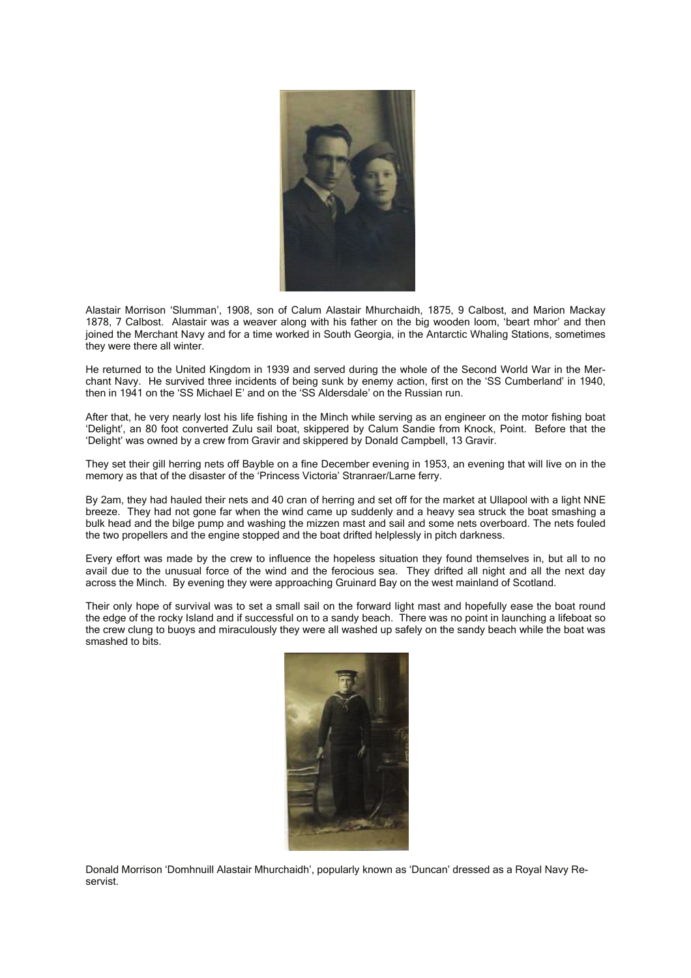

Alastair Morrison 'Slumman', 1908, son of Calum Alastair Mhurchaidh, 1875, 9 Calbost, and Marion Mackay 1878, 7 Calbost. Alastair was a weaver along with his father on the big wooden loom, 'beart mhor' and then joined the Merchant Navy and for a time worked in South Georgia, in the Antarctic Whaling Stations, sometimes they were there all winter.

He returned to the United Kingdom in 1939 and served during the whole of the Second World War in the Merchant Navy. He survived three incidents of being sunk by enemy action, first on the 'SS Cumberland' in 1940, then in 1941 on the 'SS Michael E' and on the 'SS Aldersdale' on the Russian run.

After that, he very nearly lost his life fishing in the Minch while serving as an engineer on the motor fishing boat 'Delight', an 80 foot converted Zulu sail boat, skippered by Calum Sandie from Knock, Point. Before that the 'Delight' was owned by a crew from Gravir and skippered by Donald Campbell, 13 Gravir.

They set their gill herring nets off Bayble on a fine December evening in 1953, an evening that will live on in the memory as that of the disaster of the 'Princess Victoria' Stranraer/Larne ferry.

By 2am, they had hauled their nets and 40 cran of herring and set off for the market at Ullapool with a light NNE breeze. They had not gone far when the wind came up suddenly and a heavy sea struck the boat smashing a bulk head and the bilge pump and washing the mizzen mast and sail and some nets overboard. The nets fouled the two propellers and the engine stopped and the boat drifted helplessly in pitch darkness.

Every effort was made by the crew to influence the hopeless situation they found themselves in, but all to no avail due to the unusual force of the wind and the ferocious sea. They drifted all night and all the next day across the Minch. By evening they were approaching Gruinard Bay on the west mainland of Scotland.

Their only hope of survival was to set a small sail on the forward light mast and hopefully ease the boat round the edge of the rocky Island and if successful on to a sandy beach. There was no point in launching a lifeboat so the crew clung to buoys and miraculously they were all washed up safely on the sandy beach while the boat was smashed to bits.



Donald Morrison 'Domhnuill Alastair Mhurchaidh', popularly known as 'Duncan' dressed as a Royal Navy Reservist.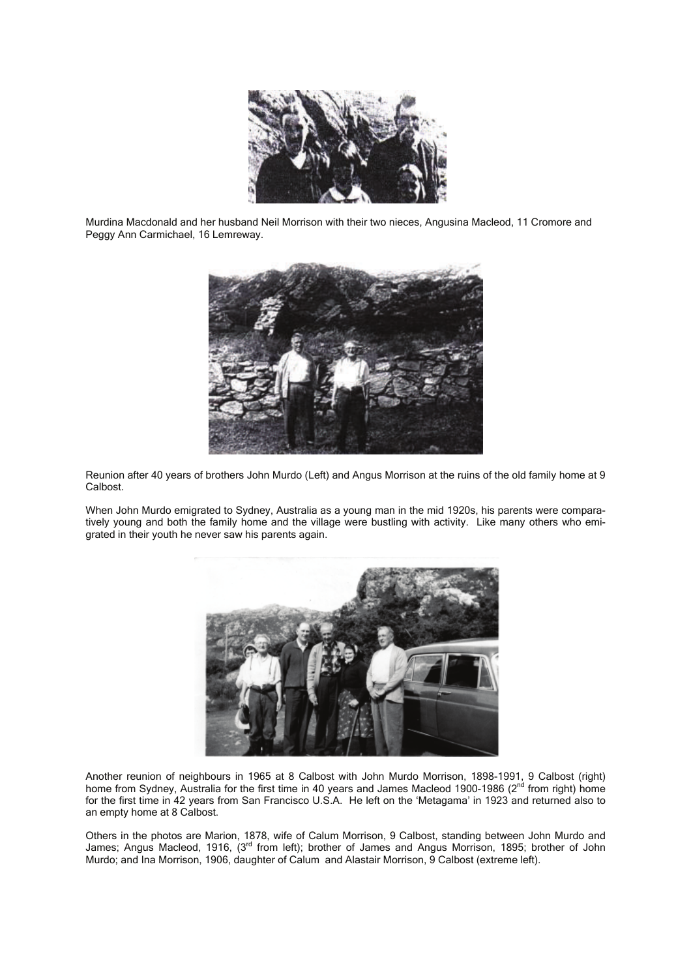

Murdina Macdonald and her husband Neil Morrison with their two nieces, Angusina Macleod, 11 Cromore and Peggy Ann Carmichael, 16 Lemreway.



Reunion after 40 years of brothers John Murdo (Left) and Angus Morrison at the ruins of the old family home at 9 Calbost.

When John Murdo emigrated to Sydney, Australia as a young man in the mid 1920s, his parents were comparatively young and both the family home and the village were bustling with activity. Like many others who emigrated in their youth he never saw his parents again.



Another reunion of neighbours in 1965 at 8 Calbost with John Murdo Morrison, 1898-1991, 9 Calbost (right) home from Sydney, Australia for the first time in 40 years and James Macleod 1900-1986 (2<sup>nd</sup> from right) home for the first time in 42 years from San Francisco U.S.A. He left on the 'Metagama' in 1923 and returned also to an empty home at 8 Calbost.

Others in the photos are Marion, 1878, wife of Calum Morrison, 9 Calbost, standing between John Murdo and James; Angus Macleod, 1916, (3<sup>rd</sup> from left); brother of James and Angus Morrison, 1895; brother of John Murdo; and Ina Morrison, 1906, daughter of Calum and Alastair Morrison, 9 Calbost (extreme left).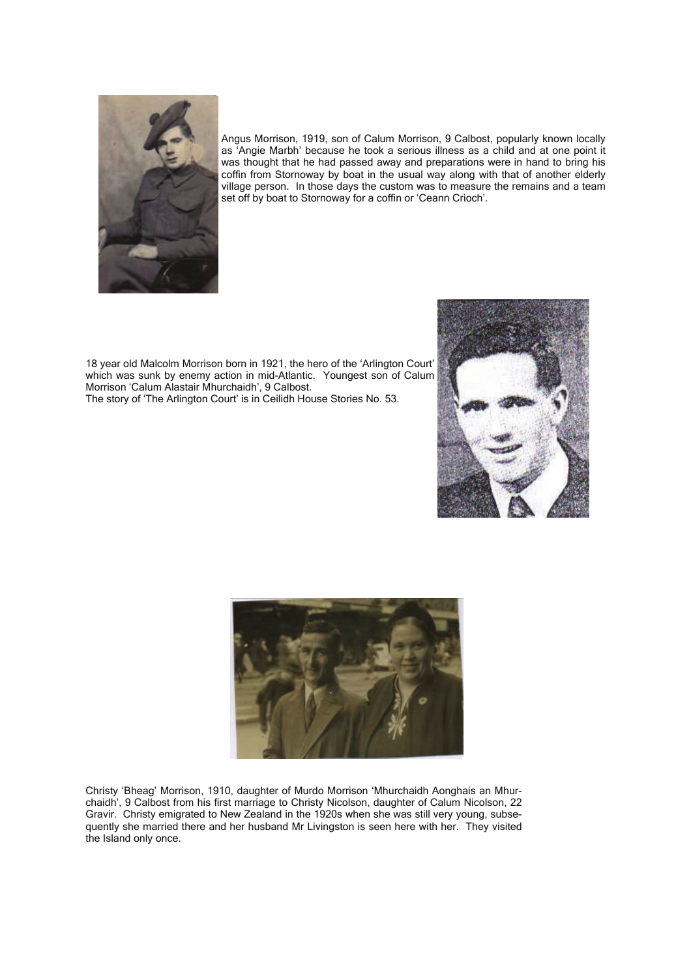

Angus Morrison, 1919, son of Calum Morrison, 9 Calbost, popularly known locally as 'Angie Marbh' because he took a serious illness as a child and at one point it was thought that he had passed away and preparations were in hand to bring his coffin from Stornoway by boat in the usual way along with that of another elderly village person. In those days the custom was to measure the remains and a team set off by boat to Stornoway for a coffin or 'Ceann Crìoch'.

18 year old Malcolm Morrison born in 1921, the hero of the 'Arlington Court' which was sunk by enemy action in mid-Atlantic. Youngest son of Calum Morrison 'Calum Alastair Mhurchaidh', 9 Calbost. The story of 'The Arlington Court' is in Ceilidh House Stories No. 53.





Christy 'Bheag' Morrison, 1910, daughter of Murdo Morrison 'Mhurchaidh Aonghais an Mhurchaidh', 9 Calbost from his first marriage to Christy Nicolson, daughter of Calum Nicolson, 22 Gravir. Christy emigrated to New Zealand in the 1920s when she was still very young, subsequently she married there and her husband Mr Livingston is seen here with her. They visited the Island only once.